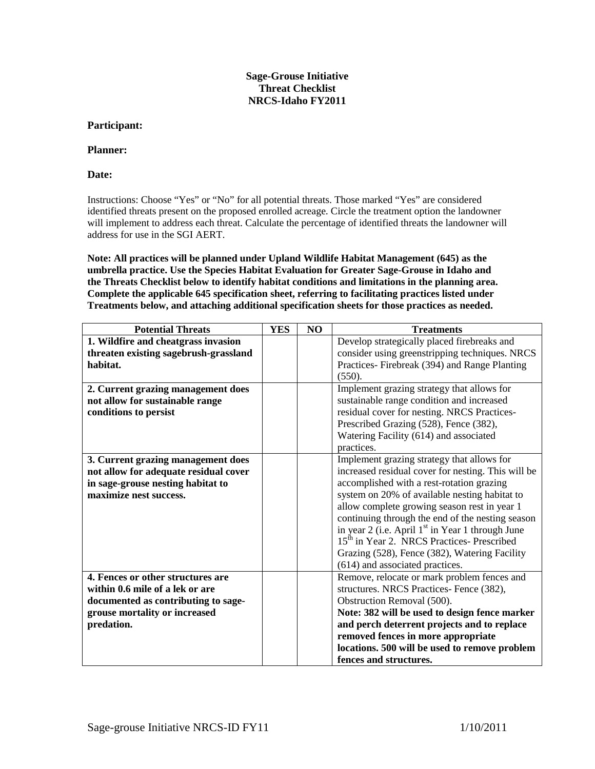## **Sage-Grouse Initiative Threat Checklist NRCS-Idaho FY2011**

## **Participant:**

## **Planner:**

**Date:**

Instructions: Choose "Yes" or "No" for all potential threats. Those marked "Yes" are considered identified threats present on the proposed enrolled acreage. Circle the treatment option the landowner will implement to address each threat. Calculate the percentage of identified threats the landowner will address for use in the SGI AERT.

**Note: All practices will be planned under Upland Wildlife Habitat Management (645) as the umbrella practice. Use the Species Habitat Evaluation for Greater Sage-Grouse in Idaho and the Threats Checklist below to identify habitat conditions and limitations in the planning area. Complete the applicable 645 specification sheet, referring to facilitating practices listed under Treatments below, and attaching additional specification sheets for those practices as needed.**

| <b>Potential Threats</b>              | <b>YES</b> | NO | <b>Treatments</b>                                            |
|---------------------------------------|------------|----|--------------------------------------------------------------|
| 1. Wildfire and cheatgrass invasion   |            |    | Develop strategically placed firebreaks and                  |
| threaten existing sagebrush-grassland |            |    | consider using greenstripping techniques. NRCS               |
| habitat.                              |            |    | Practices-Firebreak (394) and Range Planting                 |
|                                       |            |    | (550).                                                       |
| 2. Current grazing management does    |            |    | Implement grazing strategy that allows for                   |
| not allow for sustainable range       |            |    | sustainable range condition and increased                    |
| conditions to persist                 |            |    | residual cover for nesting. NRCS Practices-                  |
|                                       |            |    | Prescribed Grazing (528), Fence (382),                       |
|                                       |            |    | Watering Facility (614) and associated                       |
|                                       |            |    | practices.                                                   |
| 3. Current grazing management does    |            |    | Implement grazing strategy that allows for                   |
| not allow for adequate residual cover |            |    | increased residual cover for nesting. This will be           |
| in sage-grouse nesting habitat to     |            |    | accomplished with a rest-rotation grazing                    |
| maximize nest success.                |            |    | system on 20% of available nesting habitat to                |
|                                       |            |    | allow complete growing season rest in year 1                 |
|                                       |            |    | continuing through the end of the nesting season             |
|                                       |            |    | in year 2 (i.e. April 1 <sup>st</sup> in Year 1 through June |
|                                       |            |    | 15 <sup>th</sup> in Year 2. NRCS Practices- Prescribed       |
|                                       |            |    | Grazing (528), Fence (382), Watering Facility                |
|                                       |            |    | (614) and associated practices.                              |
| 4. Fences or other structures are     |            |    | Remove, relocate or mark problem fences and                  |
| within 0.6 mile of a lek or are       |            |    | structures. NRCS Practices- Fence (382),                     |
| documented as contributing to sage-   |            |    | Obstruction Removal (500).                                   |
| grouse mortality or increased         |            |    | Note: 382 will be used to design fence marker                |
| predation.                            |            |    | and perch deterrent projects and to replace                  |
|                                       |            |    | removed fences in more appropriate                           |
|                                       |            |    | locations. 500 will be used to remove problem                |
|                                       |            |    | fences and structures.                                       |